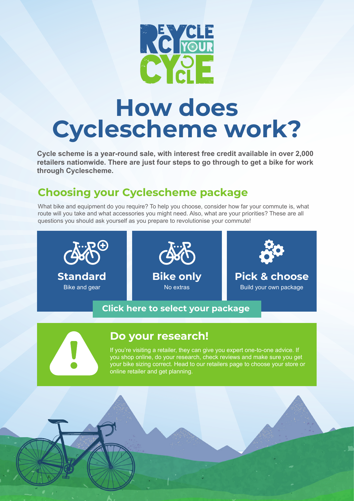

# **How does Cyclescheme work?**

**Cycle scheme is a year-round sale, with interest free credit available in over 2,000 retailers nationwide. There are just four steps to go through to get a bike for work through Cyclescheme.**

# **Choosing your Cyclescheme package**

What bike and equipment do you require? To help you choose, consider how far your commute is, what route will you take and what accessories you might need. Also, what are your priorities? These are all questions you should ask yourself as you prepare to revolutionise your commute!



#### **[Click here to select your package](http://www.cyclescheme.co.uk/11841)**



#### **Do your research!**

If you're visiting a retailer, they can give you expert one-to-one advice. If you shop online, do your research, check reviews and make sure you get your bike sizing correct. Head to our retailers page to choose your store or online retailer and get planning.